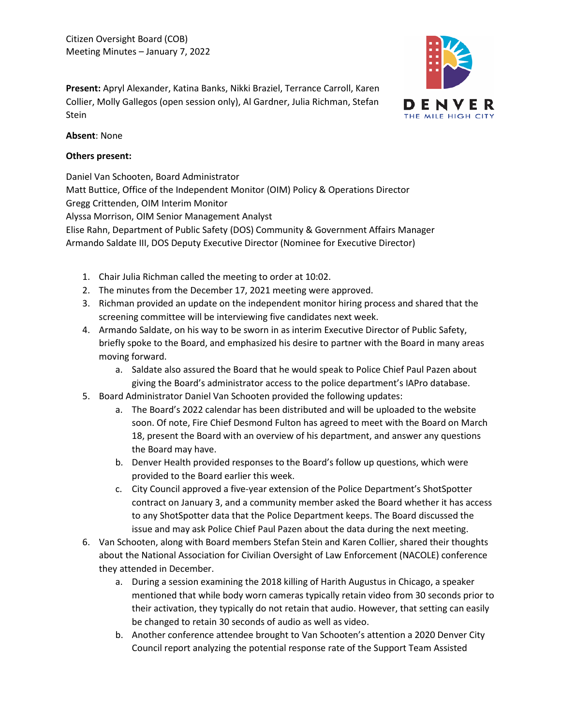**Present:** Apryl Alexander, Katina Banks, Nikki Braziel, Terrance Carroll, Karen Collier, Molly Gallegos (open session only), Al Gardner, Julia Richman, Stefan Stein



### **Absent**: None

### **Others present:**

Daniel Van Schooten, Board Administrator Matt Buttice, Office of the Independent Monitor (OIM) Policy & Operations Director Gregg Crittenden, OIM Interim Monitor Alyssa Morrison, OIM Senior Management Analyst Elise Rahn, Department of Public Safety (DOS) Community & Government Affairs Manager Armando Saldate III, DOS Deputy Executive Director (Nominee for Executive Director)

- 1. Chair Julia Richman called the meeting to order at 10:02.
- 2. The minutes from the December 17, 2021 meeting were approved.
- 3. Richman provided an update on the independent monitor hiring process and shared that the screening committee will be interviewing five candidates next week.
- 4. Armando Saldate, on his way to be sworn in as interim Executive Director of Public Safety, briefly spoke to the Board, and emphasized his desire to partner with the Board in many areas moving forward.
	- a. Saldate also assured the Board that he would speak to Police Chief Paul Pazen about giving the Board's administrator access to the police department's IAPro database.
- 5. Board Administrator Daniel Van Schooten provided the following updates:
	- a. The Board's 2022 calendar has been distributed and will be uploaded to the website soon. Of note, Fire Chief Desmond Fulton has agreed to meet with the Board on March 18, present the Board with an overview of his department, and answer any questions the Board may have.
	- b. Denver Health provided responses to the Board's follow up questions, which were provided to the Board earlier this week.
	- c. City Council approved a five-year extension of the Police Department's ShotSpotter contract on January 3, and a community member asked the Board whether it has access to any ShotSpotter data that the Police Department keeps. The Board discussed the issue and may ask Police Chief Paul Pazen about the data during the next meeting.
- 6. Van Schooten, along with Board members Stefan Stein and Karen Collier, shared their thoughts about the National Association for Civilian Oversight of Law Enforcement (NACOLE) conference they attended in December.
	- a. During a session examining the 2018 killing of Harith Augustus in Chicago, a speaker mentioned that while body worn cameras typically retain video from 30 seconds prior to their activation, they typically do not retain that audio. However, that setting can easily be changed to retain 30 seconds of audio as well as video.
	- b. Another conference attendee brought to Van Schooten's attention a 2020 Denver City Council report analyzing the potential response rate of the Support Team Assisted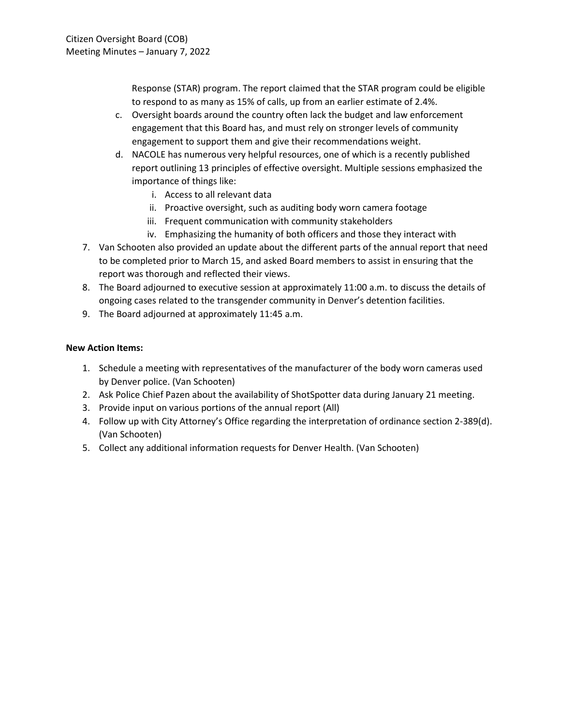Response (STAR) program. The report claimed that the STAR program could be eligible to respond to as many as 15% of calls, up from an earlier estimate of 2.4%.

- c. Oversight boards around the country often lack the budget and law enforcement engagement that this Board has, and must rely on stronger levels of community engagement to support them and give their recommendations weight.
- d. NACOLE has numerous very helpful resources, one of which is a recently published report outlining 13 principles of effective oversight. Multiple sessions emphasized the importance of things like:
	- i. Access to all relevant data
	- ii. Proactive oversight, such as auditing body worn camera footage
	- iii. Frequent communication with community stakeholders
	- iv. Emphasizing the humanity of both officers and those they interact with
- 7. Van Schooten also provided an update about the different parts of the annual report that need to be completed prior to March 15, and asked Board members to assist in ensuring that the report was thorough and reflected their views.
- 8. The Board adjourned to executive session at approximately 11:00 a.m. to discuss the details of ongoing cases related to the transgender community in Denver's detention facilities.
- 9. The Board adjourned at approximately 11:45 a.m.

- 1. Schedule a meeting with representatives of the manufacturer of the body worn cameras used by Denver police. (Van Schooten)
- 2. Ask Police Chief Pazen about the availability of ShotSpotter data during January 21 meeting.
- 3. Provide input on various portions of the annual report (All)
- 4. Follow up with City Attorney's Office regarding the interpretation of ordinance section 2-389(d). (Van Schooten)
- 5. Collect any additional information requests for Denver Health. (Van Schooten)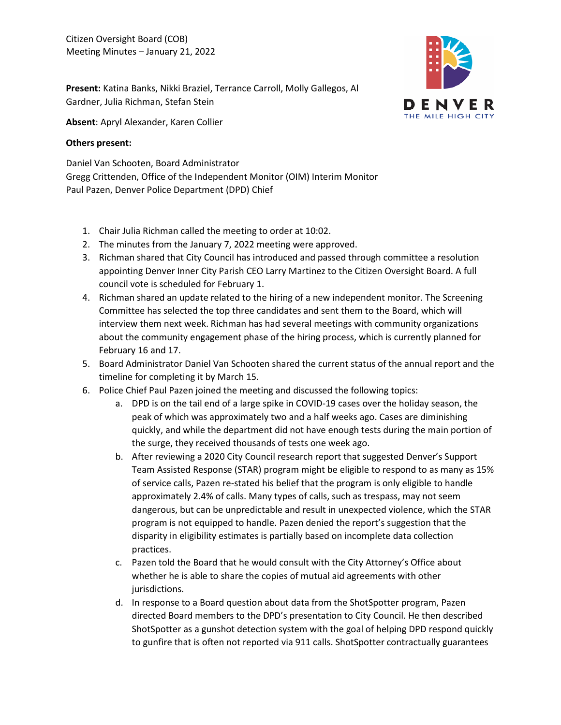

**Present:** Katina Banks, Nikki Braziel, Terrance Carroll, Molly Gallegos, Al Gardner, Julia Richman, Stefan Stein

**Absent**: Apryl Alexander, Karen Collier

### **Others present:**

Daniel Van Schooten, Board Administrator Gregg Crittenden, Office of the Independent Monitor (OIM) Interim Monitor Paul Pazen, Denver Police Department (DPD) Chief

- 1. Chair Julia Richman called the meeting to order at 10:02.
- 2. The minutes from the January 7, 2022 meeting were approved.
- 3. Richman shared that City Council has introduced and passed through committee a resolution appointing Denver Inner City Parish CEO Larry Martinez to the Citizen Oversight Board. A full council vote is scheduled for February 1.
- 4. Richman shared an update related to the hiring of a new independent monitor. The Screening Committee has selected the top three candidates and sent them to the Board, which will interview them next week. Richman has had several meetings with community organizations about the community engagement phase of the hiring process, which is currently planned for February 16 and 17.
- 5. Board Administrator Daniel Van Schooten shared the current status of the annual report and the timeline for completing it by March 15.
- 6. Police Chief Paul Pazen joined the meeting and discussed the following topics:
	- a. DPD is on the tail end of a large spike in COVID-19 cases over the holiday season, the peak of which was approximately two and a half weeks ago. Cases are diminishing quickly, and while the department did not have enough tests during the main portion of the surge, they received thousands of tests one week ago.
	- b. After reviewing a 2020 City Council research report that suggested Denver's Support Team Assisted Response (STAR) program might be eligible to respond to as many as 15% of service calls, Pazen re-stated his belief that the program is only eligible to handle approximately 2.4% of calls. Many types of calls, such as trespass, may not seem dangerous, but can be unpredictable and result in unexpected violence, which the STAR program is not equipped to handle. Pazen denied the report's suggestion that the disparity in eligibility estimates is partially based on incomplete data collection practices.
	- c. Pazen told the Board that he would consult with the City Attorney's Office about whether he is able to share the copies of mutual aid agreements with other jurisdictions.
	- d. In response to a Board question about data from the ShotSpotter program, Pazen directed Board members to the DPD's presentation to City Council. He then described ShotSpotter as a gunshot detection system with the goal of helping DPD respond quickly to gunfire that is often not reported via 911 calls. ShotSpotter contractually guarantees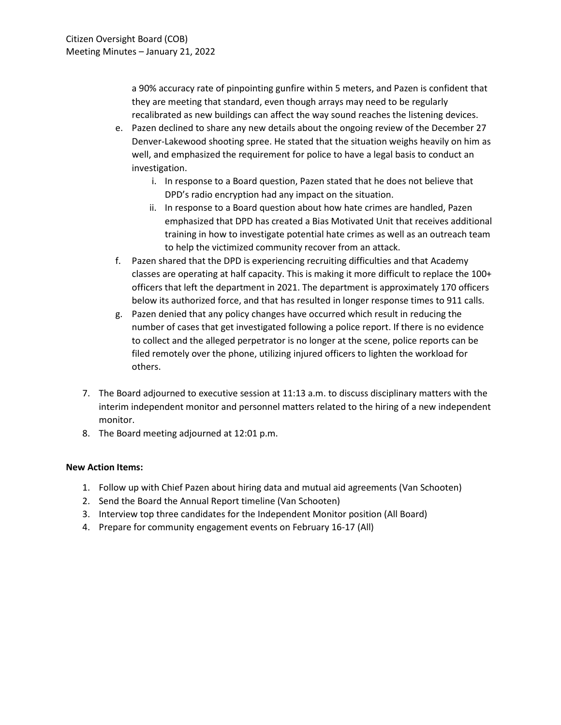a 90% accuracy rate of pinpointing gunfire within 5 meters, and Pazen is confident that they are meeting that standard, even though arrays may need to be regularly recalibrated as new buildings can affect the way sound reaches the listening devices.

- e. Pazen declined to share any new details about the ongoing review of the December 27 Denver-Lakewood shooting spree. He stated that the situation weighs heavily on him as well, and emphasized the requirement for police to have a legal basis to conduct an investigation.
	- i. In response to a Board question, Pazen stated that he does not believe that DPD's radio encryption had any impact on the situation.
	- ii. In response to a Board question about how hate crimes are handled, Pazen emphasized that DPD has created a Bias Motivated Unit that receives additional training in how to investigate potential hate crimes as well as an outreach team to help the victimized community recover from an attack.
- f. Pazen shared that the DPD is experiencing recruiting difficulties and that Academy classes are operating at half capacity. This is making it more difficult to replace the 100+ officers that left the department in 2021. The department is approximately 170 officers below its authorized force, and that has resulted in longer response times to 911 calls.
- g. Pazen denied that any policy changes have occurred which result in reducing the number of cases that get investigated following a police report. If there is no evidence to collect and the alleged perpetrator is no longer at the scene, police reports can be filed remotely over the phone, utilizing injured officers to lighten the workload for others.
- 7. The Board adjourned to executive session at 11:13 a.m. to discuss disciplinary matters with the interim independent monitor and personnel matters related to the hiring of a new independent monitor.
- 8. The Board meeting adjourned at 12:01 p.m.

- 1. Follow up with Chief Pazen about hiring data and mutual aid agreements (Van Schooten)
- 2. Send the Board the Annual Report timeline (Van Schooten)
- 3. Interview top three candidates for the Independent Monitor position (All Board)
- 4. Prepare for community engagement events on February 16-17 (All)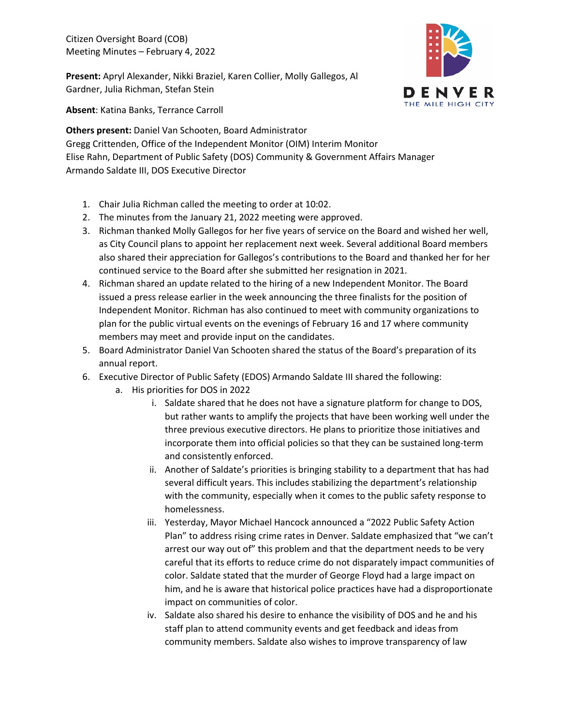Citizen Oversight Board (COB) Meeting Minutes – February 4, 2022

**Present:** Apryl Alexander, Nikki Braziel, Karen Collier, Molly Gallegos, Al Gardner, Julia Richman, Stefan Stein



**Absent**: Katina Banks, Terrance Carroll

**Others present:** Daniel Van Schooten, Board Administrator Gregg Crittenden, Office of the Independent Monitor (OIM) Interim Monitor Elise Rahn, Department of Public Safety (DOS) Community & Government Affairs Manager Armando Saldate III, DOS Executive Director

- 1. Chair Julia Richman called the meeting to order at 10:02.
- 2. The minutes from the January 21, 2022 meeting were approved.
- 3. Richman thanked Molly Gallegos for her five years of service on the Board and wished her well, as City Council plans to appoint her replacement next week. Several additional Board members also shared their appreciation for Gallegos's contributions to the Board and thanked her for her continued service to the Board after she submitted her resignation in 2021.
- 4. Richman shared an update related to the hiring of a new Independent Monitor. The Board issued a press release earlier in the week announcing the three finalists for the position of Independent Monitor. Richman has also continued to meet with community organizations to plan for the public virtual events on the evenings of February 16 and 17 where community members may meet and provide input on the candidates.
- 5. Board Administrator Daniel Van Schooten shared the status of the Board's preparation of its annual report.
- 6. Executive Director of Public Safety (EDOS) Armando Saldate III shared the following:
	- a. His priorities for DOS in 2022
		- i. Saldate shared that he does not have a signature platform for change to DOS, but rather wants to amplify the projects that have been working well under the three previous executive directors. He plans to prioritize those initiatives and incorporate them into official policies so that they can be sustained long-term and consistently enforced.
		- ii. Another of Saldate's priorities is bringing stability to a department that has had several difficult years. This includes stabilizing the department's relationship with the community, especially when it comes to the public safety response to homelessness.
		- iii. Yesterday, Mayor Michael Hancock announced a "2022 Public Safety Action Plan" to address rising crime rates in Denver. Saldate emphasized that "we can't arrest our way out of" this problem and that the department needs to be very careful that its efforts to reduce crime do not disparately impact communities of color. Saldate stated that the murder of George Floyd had a large impact on him, and he is aware that historical police practices have had a disproportionate impact on communities of color.
		- iv. Saldate also shared his desire to enhance the visibility of DOS and he and his staff plan to attend community events and get feedback and ideas from community members. Saldate also wishes to improve transparency of law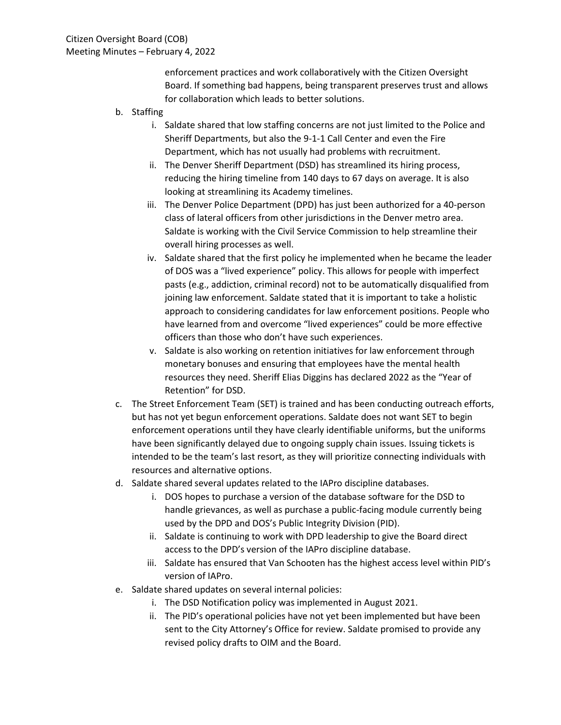enforcement practices and work collaboratively with the Citizen Oversight Board. If something bad happens, being transparent preserves trust and allows for collaboration which leads to better solutions.

- b. Staffing
	- i. Saldate shared that low staffing concerns are not just limited to the Police and Sheriff Departments, but also the 9-1-1 Call Center and even the Fire Department, which has not usually had problems with recruitment.
	- ii. The Denver Sheriff Department (DSD) has streamlined its hiring process, reducing the hiring timeline from 140 days to 67 days on average. It is also looking at streamlining its Academy timelines.
	- iii. The Denver Police Department (DPD) has just been authorized for a 40-person class of lateral officers from other jurisdictions in the Denver metro area. Saldate is working with the Civil Service Commission to help streamline their overall hiring processes as well.
	- iv. Saldate shared that the first policy he implemented when he became the leader of DOS was a "lived experience" policy. This allows for people with imperfect pasts (e.g., addiction, criminal record) not to be automatically disqualified from joining law enforcement. Saldate stated that it is important to take a holistic approach to considering candidates for law enforcement positions. People who have learned from and overcome "lived experiences" could be more effective officers than those who don't have such experiences.
	- v. Saldate is also working on retention initiatives for law enforcement through monetary bonuses and ensuring that employees have the mental health resources they need. Sheriff Elias Diggins has declared 2022 as the "Year of Retention" for DSD.
- c. The Street Enforcement Team (SET) is trained and has been conducting outreach efforts, but has not yet begun enforcement operations. Saldate does not want SET to begin enforcement operations until they have clearly identifiable uniforms, but the uniforms have been significantly delayed due to ongoing supply chain issues. Issuing tickets is intended to be the team's last resort, as they will prioritize connecting individuals with resources and alternative options.
- d. Saldate shared several updates related to the IAPro discipline databases.
	- i. DOS hopes to purchase a version of the database software for the DSD to handle grievances, as well as purchase a public-facing module currently being used by the DPD and DOS's Public Integrity Division (PID).
	- ii. Saldate is continuing to work with DPD leadership to give the Board direct access to the DPD's version of the IAPro discipline database.
	- iii. Saldate has ensured that Van Schooten has the highest access level within PID's version of IAPro.
- e. Saldate shared updates on several internal policies:
	- i. The DSD Notification policy was implemented in August 2021.
	- ii. The PID's operational policies have not yet been implemented but have been sent to the City Attorney's Office for review. Saldate promised to provide any revised policy drafts to OIM and the Board.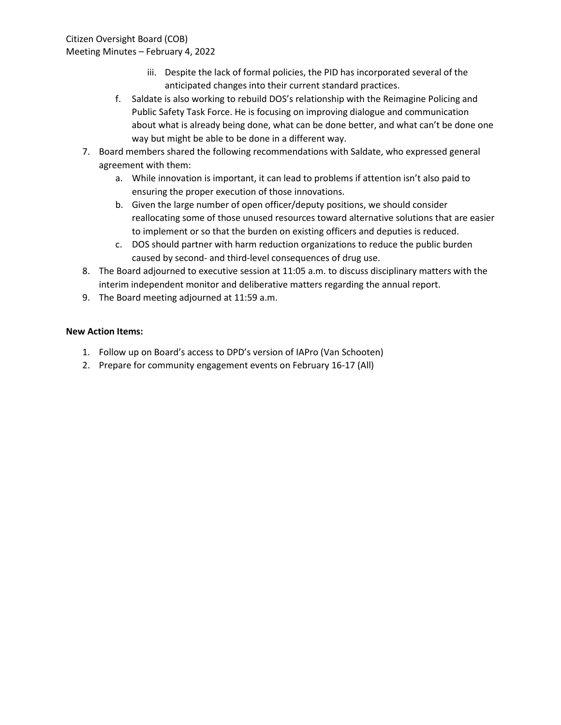Citizen Oversight Board (COB) Meeting Minutes – February 4, 2022

- iii. Despite the lack of formal policies, the PID has incorporated several of the anticipated changes into their current standard practices.
- f. Saldate is also working to rebuild DOS's relationship with the Reimagine Policing and Public Safety Task Force. He is focusing on improving dialogue and communication about what is already being done, what can be done better, and what can't be done one way but might be able to be done in a different way.
- 7. Board members shared the following recommendations with Saldate, who expressed general agreement with them:
	- a. While innovation is important, it can lead to problems if attention isn't also paid to ensuring the proper execution of those innovations.
	- b. Given the large number of open officer/deputy positions, we should consider reallocating some of those unused resources toward alternative solutions that are easier to implement or so that the burden on existing officers and deputies is reduced.
	- c. DOS should partner with harm reduction organizations to reduce the public burden caused by second- and third-level consequences of drug use.
- 8. The Board adjourned to executive session at 11:05 a.m. to discuss disciplinary matters with the interim independent monitor and deliberative matters regarding the annual report.
- 9. The Board meeting adjourned at 11:59 a.m.

- 1. Follow up on Board's access to DPD's version of IAPro (Van Schooten)
- 2. Prepare for community engagement events on February 16-17 (All)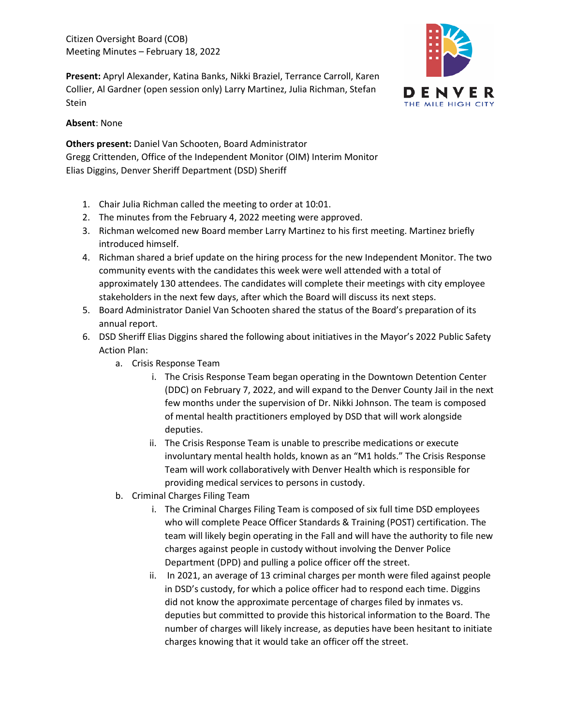Citizen Oversight Board (COB) Meeting Minutes – February 18, 2022

**Present:** Apryl Alexander, Katina Banks, Nikki Braziel, Terrance Carroll, Karen Collier, Al Gardner (open session only) Larry Martinez, Julia Richman, Stefan Stein



### **Absent**: None

**Others present:** Daniel Van Schooten, Board Administrator Gregg Crittenden, Office of the Independent Monitor (OIM) Interim Monitor Elias Diggins, Denver Sheriff Department (DSD) Sheriff

- 1. Chair Julia Richman called the meeting to order at 10:01.
- 2. The minutes from the February 4, 2022 meeting were approved.
- 3. Richman welcomed new Board member Larry Martinez to his first meeting. Martinez briefly introduced himself.
- 4. Richman shared a brief update on the hiring process for the new Independent Monitor. The two community events with the candidates this week were well attended with a total of approximately 130 attendees. The candidates will complete their meetings with city employee stakeholders in the next few days, after which the Board will discuss its next steps.
- 5. Board Administrator Daniel Van Schooten shared the status of the Board's preparation of its annual report.
- 6. DSD Sheriff Elias Diggins shared the following about initiatives in the Mayor's 2022 Public Safety Action Plan:
	- a. Crisis Response Team
		- i. The Crisis Response Team began operating in the Downtown Detention Center (DDC) on February 7, 2022, and will expand to the Denver County Jail in the next few months under the supervision of Dr. Nikki Johnson. The team is composed of mental health practitioners employed by DSD that will work alongside deputies.
		- ii. The Crisis Response Team is unable to prescribe medications or execute involuntary mental health holds, known as an "M1 holds." The Crisis Response Team will work collaboratively with Denver Health which is responsible for providing medical services to persons in custody.
	- b. Criminal Charges Filing Team
		- i. The Criminal Charges Filing Team is composed of six full time DSD employees who will complete Peace Officer Standards & Training (POST) certification. The team will likely begin operating in the Fall and will have the authority to file new charges against people in custody without involving the Denver Police Department (DPD) and pulling a police officer off the street.
		- ii. In 2021, an average of 13 criminal charges per month were filed against people in DSD's custody, for which a police officer had to respond each time. Diggins did not know the approximate percentage of charges filed by inmates vs. deputies but committed to provide this historical information to the Board. The number of charges will likely increase, as deputies have been hesitant to initiate charges knowing that it would take an officer off the street.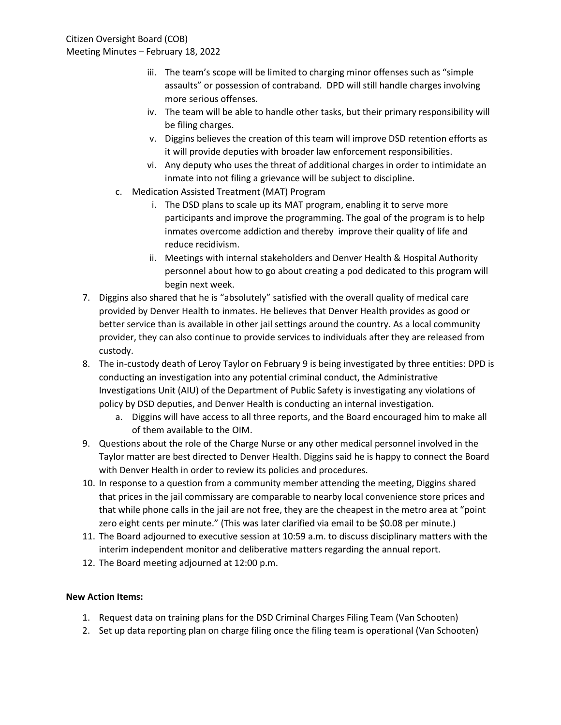- iii. The team's scope will be limited to charging minor offenses such as "simple assaults" or possession of contraband. DPD will still handle charges involving more serious offenses.
- iv. The team will be able to handle other tasks, but their primary responsibility will be filing charges.
- v. Diggins believes the creation of this team will improve DSD retention efforts as it will provide deputies with broader law enforcement responsibilities.
- vi. Any deputy who uses the threat of additional charges in order to intimidate an inmate into not filing a grievance will be subject to discipline.
- c. Medication Assisted Treatment (MAT) Program
	- i. The DSD plans to scale up its MAT program, enabling it to serve more participants and improve the programming. The goal of the program is to help inmates overcome addiction and thereby improve their quality of life and reduce recidivism.
	- ii. Meetings with internal stakeholders and Denver Health & Hospital Authority personnel about how to go about creating a pod dedicated to this program will begin next week.
- 7. Diggins also shared that he is "absolutely" satisfied with the overall quality of medical care provided by Denver Health to inmates. He believes that Denver Health provides as good or better service than is available in other jail settings around the country. As a local community provider, they can also continue to provide services to individuals after they are released from custody.
- 8. The in-custody death of Leroy Taylor on February 9 is being investigated by three entities: DPD is conducting an investigation into any potential criminal conduct, the Administrative Investigations Unit (AIU) of the Department of Public Safety is investigating any violations of policy by DSD deputies, and Denver Health is conducting an internal investigation.
	- a. Diggins will have access to all three reports, and the Board encouraged him to make all of them available to the OIM.
- 9. Questions about the role of the Charge Nurse or any other medical personnel involved in the Taylor matter are best directed to Denver Health. Diggins said he is happy to connect the Board with Denver Health in order to review its policies and procedures.
- 10. In response to a question from a community member attending the meeting, Diggins shared that prices in the jail commissary are comparable to nearby local convenience store prices and that while phone calls in the jail are not free, they are the cheapest in the metro area at "point zero eight cents per minute." (This was later clarified via email to be \$0.08 per minute.)
- 11. The Board adjourned to executive session at 10:59 a.m. to discuss disciplinary matters with the interim independent monitor and deliberative matters regarding the annual report.
- 12. The Board meeting adjourned at 12:00 p.m.

- 1. Request data on training plans for the DSD Criminal Charges Filing Team (Van Schooten)
- 2. Set up data reporting plan on charge filing once the filing team is operational (Van Schooten)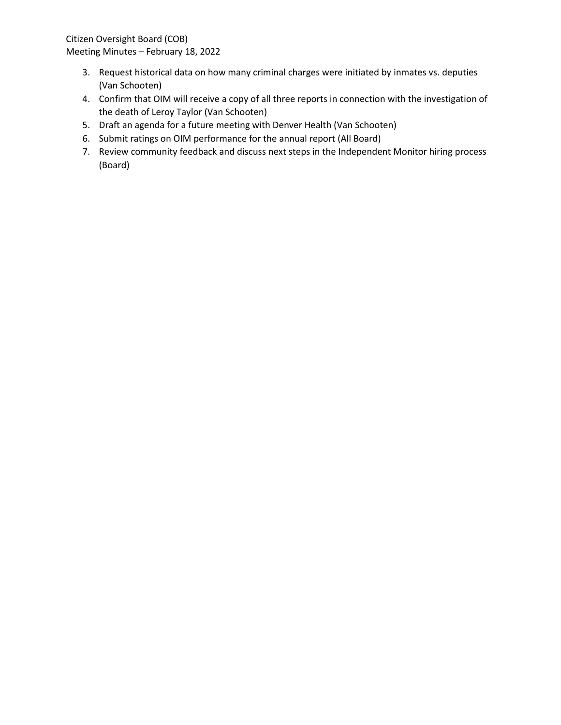Citizen Oversight Board (COB) Meeting Minutes – February 18, 2022

- 3. Request historical data on how many criminal charges were initiated by inmates vs. deputies (Van Schooten)
- 4. Confirm that OIM will receive a copy of all three reports in connection with the investigation of the death of Leroy Taylor (Van Schooten)
- 5. Draft an agenda for a future meeting with Denver Health (Van Schooten)
- 6. Submit ratings on OIM performance for the annual report (All Board)
- 7. Review community feedback and discuss next steps in the Independent Monitor hiring process (Board)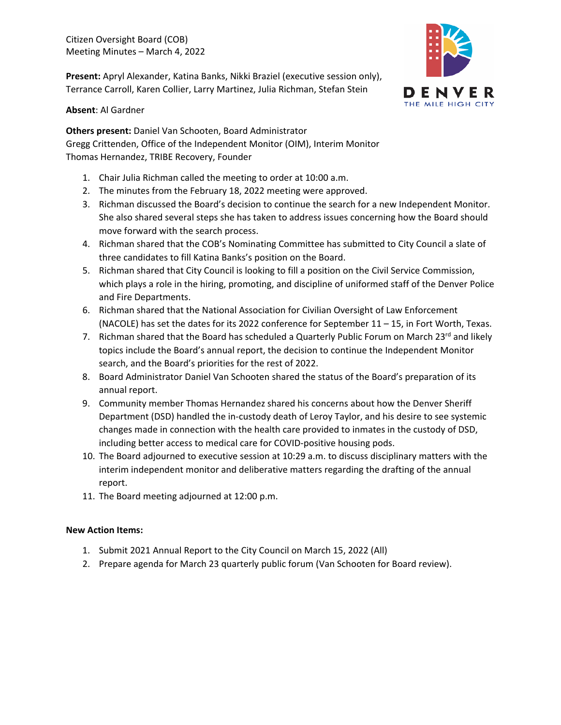Citizen Oversight Board (COB) Meeting Minutes – March 4, 2022

**Present:** Apryl Alexander, Katina Banks, Nikki Braziel (executive session only), Terrance Carroll, Karen Collier, Larry Martinez, Julia Richman, Stefan Stein



**Absent**: Al Gardner

**Others present:** Daniel Van Schooten, Board Administrator Gregg Crittenden, Office of the Independent Monitor (OIM), Interim Monitor Thomas Hernandez, TRIBE Recovery, Founder

- 1. Chair Julia Richman called the meeting to order at 10:00 a.m.
- 2. The minutes from the February 18, 2022 meeting were approved.
- 3. Richman discussed the Board's decision to continue the search for a new Independent Monitor. She also shared several steps she has taken to address issues concerning how the Board should move forward with the search process.
- 4. Richman shared that the COB's Nominating Committee has submitted to City Council a slate of three candidates to fill Katina Banks's position on the Board.
- 5. Richman shared that City Council is looking to fill a position on the Civil Service Commission, which plays a role in the hiring, promoting, and discipline of uniformed staff of the Denver Police and Fire Departments.
- 6. Richman shared that the National Association for Civilian Oversight of Law Enforcement (NACOLE) has set the dates for its 2022 conference for September 11 – 15, in Fort Worth, Texas.
- 7. Richman shared that the Board has scheduled a Quarterly Public Forum on March 23<sup>rd</sup> and likely topics include the Board's annual report, the decision to continue the Independent Monitor search, and the Board's priorities for the rest of 2022.
- 8. Board Administrator Daniel Van Schooten shared the status of the Board's preparation of its annual report.
- 9. Community member Thomas Hernandez shared his concerns about how the Denver Sheriff Department (DSD) handled the in-custody death of Leroy Taylor, and his desire to see systemic changes made in connection with the health care provided to inmates in the custody of DSD, including better access to medical care for COVID-positive housing pods.
- 10. The Board adjourned to executive session at 10:29 a.m. to discuss disciplinary matters with the interim independent monitor and deliberative matters regarding the drafting of the annual report.
- 11. The Board meeting adjourned at 12:00 p.m.

- 1. Submit 2021 Annual Report to the City Council on March 15, 2022 (All)
- 2. Prepare agenda for March 23 quarterly public forum (Van Schooten for Board review).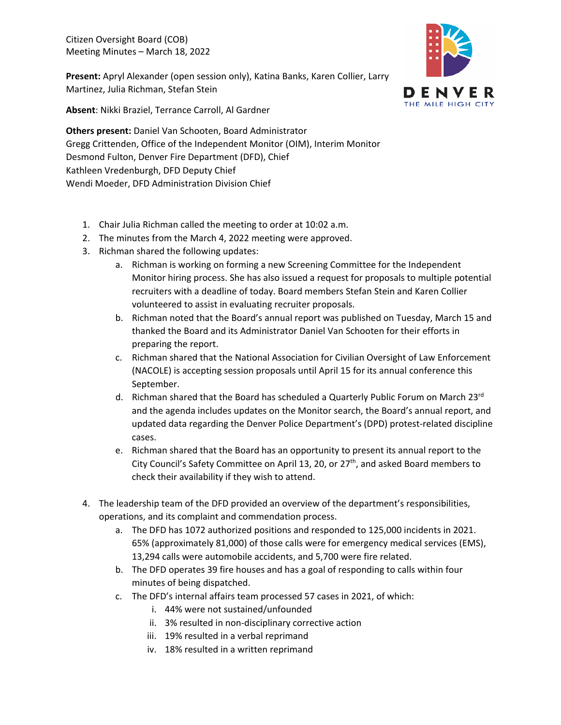Citizen Oversight Board (COB) Meeting Minutes – March 18, 2022

**Present:** Apryl Alexander (open session only), Katina Banks, Karen Collier, Larry Martinez, Julia Richman, Stefan Stein



**Absent**: Nikki Braziel, Terrance Carroll, Al Gardner

**Others present:** Daniel Van Schooten, Board Administrator Gregg Crittenden, Office of the Independent Monitor (OIM), Interim Monitor Desmond Fulton, Denver Fire Department (DFD), Chief Kathleen Vredenburgh, DFD Deputy Chief Wendi Moeder, DFD Administration Division Chief

- 1. Chair Julia Richman called the meeting to order at 10:02 a.m.
- 2. The minutes from the March 4, 2022 meeting were approved.
- 3. Richman shared the following updates:
	- a. Richman is working on forming a new Screening Committee for the Independent Monitor hiring process. She has also issued a request for proposals to multiple potential recruiters with a deadline of today. Board members Stefan Stein and Karen Collier volunteered to assist in evaluating recruiter proposals.
	- b. Richman noted that the Board's annual report was published on Tuesday, March 15 and thanked the Board and its Administrator Daniel Van Schooten for their efforts in preparing the report.
	- c. Richman shared that the National Association for Civilian Oversight of Law Enforcement (NACOLE) is accepting session proposals until April 15 for its annual conference this September.
	- d. Richman shared that the Board has scheduled a Quarterly Public Forum on March 23rd and the agenda includes updates on the Monitor search, the Board's annual report, and updated data regarding the Denver Police Department's (DPD) protest-related discipline cases.
	- e. Richman shared that the Board has an opportunity to present its annual report to the City Council's Safety Committee on April 13, 20, or 27<sup>th</sup>, and asked Board members to check their availability if they wish to attend.
- 4. The leadership team of the DFD provided an overview of the department's responsibilities, operations, and its complaint and commendation process.
	- a. The DFD has 1072 authorized positions and responded to 125,000 incidents in 2021. 65% (approximately 81,000) of those calls were for emergency medical services (EMS), 13,294 calls were automobile accidents, and 5,700 were fire related.
	- b. The DFD operates 39 fire houses and has a goal of responding to calls within four minutes of being dispatched.
	- c. The DFD's internal affairs team processed 57 cases in 2021, of which:
		- i. 44% were not sustained/unfounded
		- ii. 3% resulted in non-disciplinary corrective action
		- iii. 19% resulted in a verbal reprimand
		- iv. 18% resulted in a written reprimand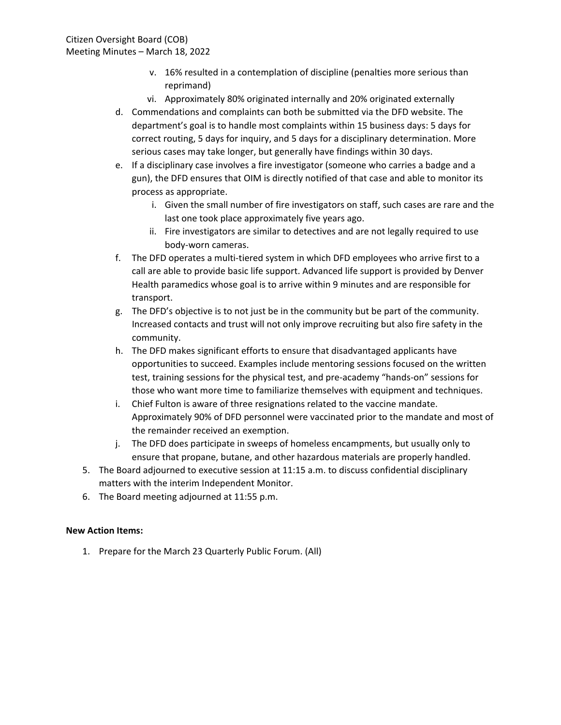- v. 16% resulted in a contemplation of discipline (penalties more serious than reprimand)
- vi. Approximately 80% originated internally and 20% originated externally
- d. Commendations and complaints can both be submitted via the DFD website. The department's goal is to handle most complaints within 15 business days: 5 days for correct routing, 5 days for inquiry, and 5 days for a disciplinary determination. More serious cases may take longer, but generally have findings within 30 days.
- e. If a disciplinary case involves a fire investigator (someone who carries a badge and a gun), the DFD ensures that OIM is directly notified of that case and able to monitor its process as appropriate.
	- i. Given the small number of fire investigators on staff, such cases are rare and the last one took place approximately five years ago.
	- ii. Fire investigators are similar to detectives and are not legally required to use body-worn cameras.
- f. The DFD operates a multi-tiered system in which DFD employees who arrive first to a call are able to provide basic life support. Advanced life support is provided by Denver Health paramedics whose goal is to arrive within 9 minutes and are responsible for transport.
- g. The DFD's objective is to not just be in the community but be part of the community. Increased contacts and trust will not only improve recruiting but also fire safety in the community.
- h. The DFD makes significant efforts to ensure that disadvantaged applicants have opportunities to succeed. Examples include mentoring sessions focused on the written test, training sessions for the physical test, and pre-academy "hands-on" sessions for those who want more time to familiarize themselves with equipment and techniques.
- i. Chief Fulton is aware of three resignations related to the vaccine mandate. Approximately 90% of DFD personnel were vaccinated prior to the mandate and most of the remainder received an exemption.
- j. The DFD does participate in sweeps of homeless encampments, but usually only to ensure that propane, butane, and other hazardous materials are properly handled.
- 5. The Board adjourned to executive session at 11:15 a.m. to discuss confidential disciplinary matters with the interim Independent Monitor.
- 6. The Board meeting adjourned at 11:55 p.m.

# **New Action Items:**

1. Prepare for the March 23 Quarterly Public Forum. (All)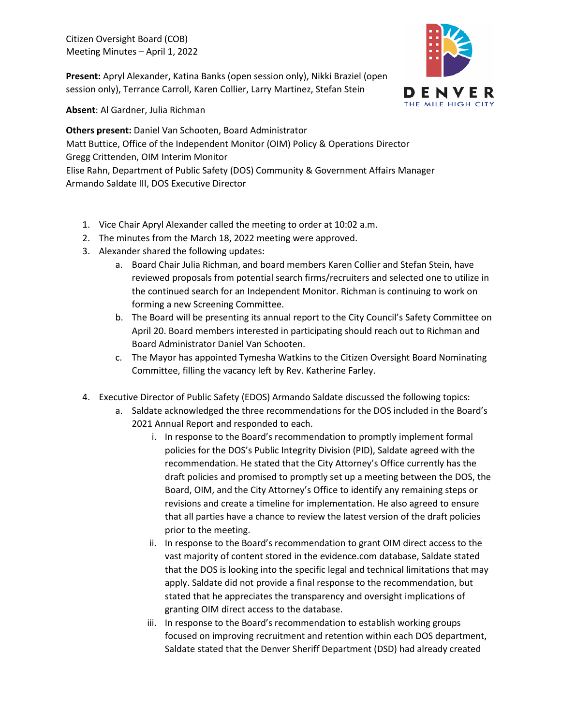Citizen Oversight Board (COB) Meeting Minutes – April 1, 2022

**Present:** Apryl Alexander, Katina Banks (open session only), Nikki Braziel (open session only), Terrance Carroll, Karen Collier, Larry Martinez, Stefan Stein



**Absent**: Al Gardner, Julia Richman

**Others present:** Daniel Van Schooten, Board Administrator Matt Buttice, Office of the Independent Monitor (OIM) Policy & Operations Director Gregg Crittenden, OIM Interim Monitor Elise Rahn, Department of Public Safety (DOS) Community & Government Affairs Manager Armando Saldate III, DOS Executive Director

- 1. Vice Chair Apryl Alexander called the meeting to order at 10:02 a.m.
- 2. The minutes from the March 18, 2022 meeting were approved.
- 3. Alexander shared the following updates:
	- a. Board Chair Julia Richman, and board members Karen Collier and Stefan Stein, have reviewed proposals from potential search firms/recruiters and selected one to utilize in the continued search for an Independent Monitor. Richman is continuing to work on forming a new Screening Committee.
	- b. The Board will be presenting its annual report to the City Council's Safety Committee on April 20. Board members interested in participating should reach out to Richman and Board Administrator Daniel Van Schooten.
	- c. The Mayor has appointed Tymesha Watkins to the Citizen Oversight Board Nominating Committee, filling the vacancy left by Rev. Katherine Farley.
- 4. Executive Director of Public Safety (EDOS) Armando Saldate discussed the following topics:
	- a. Saldate acknowledged the three recommendations for the DOS included in the Board's 2021 Annual Report and responded to each.
		- i. In response to the Board's recommendation to promptly implement formal policies for the DOS's Public Integrity Division (PID), Saldate agreed with the recommendation. He stated that the City Attorney's Office currently has the draft policies and promised to promptly set up a meeting between the DOS, the Board, OIM, and the City Attorney's Office to identify any remaining steps or revisions and create a timeline for implementation. He also agreed to ensure that all parties have a chance to review the latest version of the draft policies prior to the meeting.
		- ii. In response to the Board's recommendation to grant OIM direct access to the vast majority of content stored in the evidence.com database, Saldate stated that the DOS is looking into the specific legal and technical limitations that may apply. Saldate did not provide a final response to the recommendation, but stated that he appreciates the transparency and oversight implications of granting OIM direct access to the database.
		- iii. In response to the Board's recommendation to establish working groups focused on improving recruitment and retention within each DOS department, Saldate stated that the Denver Sheriff Department (DSD) had already created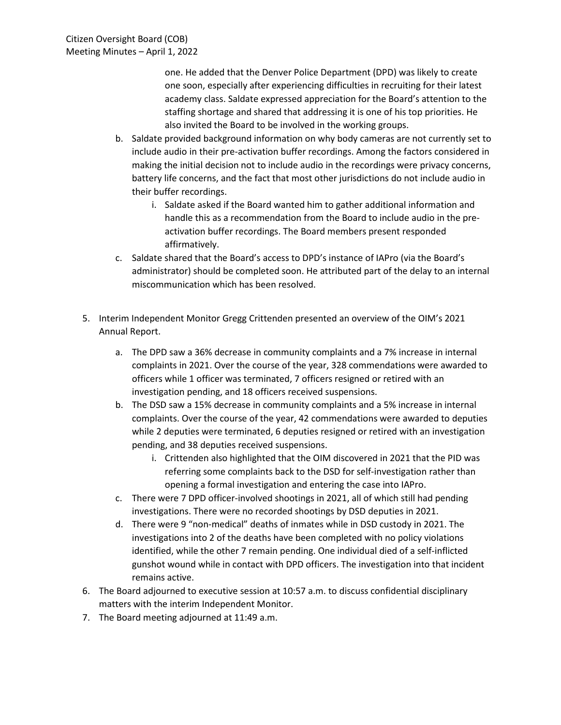one. He added that the Denver Police Department (DPD) was likely to create one soon, especially after experiencing difficulties in recruiting for their latest academy class. Saldate expressed appreciation for the Board's attention to the staffing shortage and shared that addressing it is one of his top priorities. He also invited the Board to be involved in the working groups.

- b. Saldate provided background information on why body cameras are not currently set to include audio in their pre-activation buffer recordings. Among the factors considered in making the initial decision not to include audio in the recordings were privacy concerns, battery life concerns, and the fact that most other jurisdictions do not include audio in their buffer recordings.
	- i. Saldate asked if the Board wanted him to gather additional information and handle this as a recommendation from the Board to include audio in the preactivation buffer recordings. The Board members present responded affirmatively.
- c. Saldate shared that the Board's access to DPD's instance of IAPro (via the Board's administrator) should be completed soon. He attributed part of the delay to an internal miscommunication which has been resolved.
- 5. Interim Independent Monitor Gregg Crittenden presented an overview of the OIM's 2021 Annual Report.
	- a. The DPD saw a 36% decrease in community complaints and a 7% increase in internal complaints in 2021. Over the course of the year, 328 commendations were awarded to officers while 1 officer was terminated, 7 officers resigned or retired with an investigation pending, and 18 officers received suspensions.
	- b. The DSD saw a 15% decrease in community complaints and a 5% increase in internal complaints. Over the course of the year, 42 commendations were awarded to deputies while 2 deputies were terminated, 6 deputies resigned or retired with an investigation pending, and 38 deputies received suspensions.
		- i. Crittenden also highlighted that the OIM discovered in 2021 that the PID was referring some complaints back to the DSD for self-investigation rather than opening a formal investigation and entering the case into IAPro.
	- c. There were 7 DPD officer-involved shootings in 2021, all of which still had pending investigations. There were no recorded shootings by DSD deputies in 2021.
	- d. There were 9 "non-medical" deaths of inmates while in DSD custody in 2021. The investigations into 2 of the deaths have been completed with no policy violations identified, while the other 7 remain pending. One individual died of a self-inflicted gunshot wound while in contact with DPD officers. The investigation into that incident remains active.
- 6. The Board adjourned to executive session at 10:57 a.m. to discuss confidential disciplinary matters with the interim Independent Monitor.
- 7. The Board meeting adjourned at 11:49 a.m.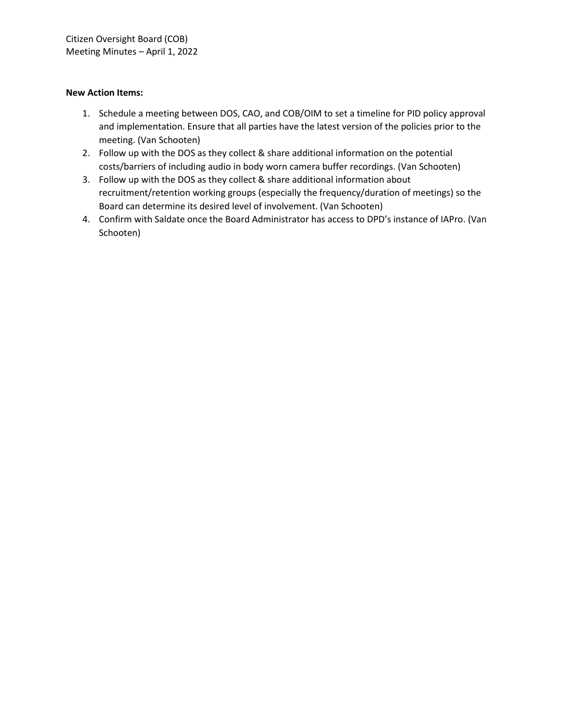- 1. Schedule a meeting between DOS, CAO, and COB/OIM to set a timeline for PID policy approval and implementation. Ensure that all parties have the latest version of the policies prior to the meeting. (Van Schooten)
- 2. Follow up with the DOS as they collect & share additional information on the potential costs/barriers of including audio in body worn camera buffer recordings. (Van Schooten)
- 3. Follow up with the DOS as they collect & share additional information about recruitment/retention working groups (especially the frequency/duration of meetings) so the Board can determine its desired level of involvement. (Van Schooten)
- 4. Confirm with Saldate once the Board Administrator has access to DPD's instance of IAPro. (Van Schooten)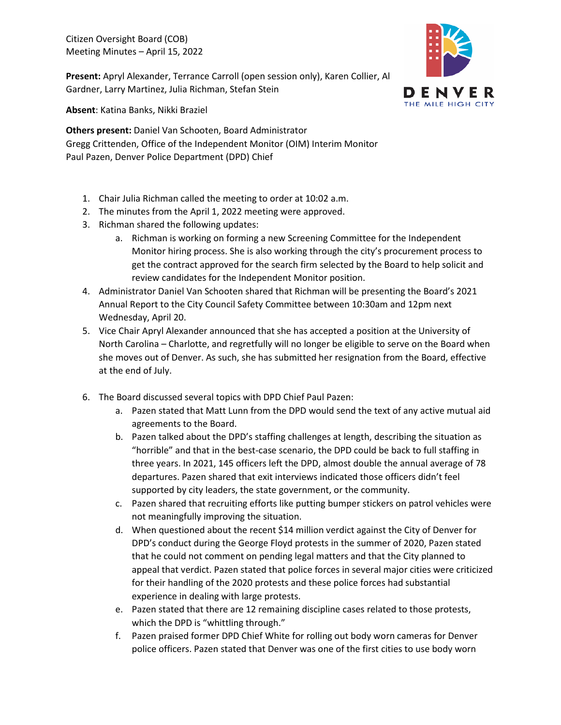Citizen Oversight Board (COB) Meeting Minutes – April 15, 2022

**Present:** Apryl Alexander, Terrance Carroll (open session only), Karen Collier, Al Gardner, Larry Martinez, Julia Richman, Stefan Stein



**Absent**: Katina Banks, Nikki Braziel

**Others present:** Daniel Van Schooten, Board Administrator Gregg Crittenden, Office of the Independent Monitor (OIM) Interim Monitor Paul Pazen, Denver Police Department (DPD) Chief

- 1. Chair Julia Richman called the meeting to order at 10:02 a.m.
- 2. The minutes from the April 1, 2022 meeting were approved.
- 3. Richman shared the following updates:
	- a. Richman is working on forming a new Screening Committee for the Independent Monitor hiring process. She is also working through the city's procurement process to get the contract approved for the search firm selected by the Board to help solicit and review candidates for the Independent Monitor position.
- 4. Administrator Daniel Van Schooten shared that Richman will be presenting the Board's 2021 Annual Report to the City Council Safety Committee between 10:30am and 12pm next Wednesday, April 20.
- 5. Vice Chair Apryl Alexander announced that she has accepted a position at the University of North Carolina – Charlotte, and regretfully will no longer be eligible to serve on the Board when she moves out of Denver. As such, she has submitted her resignation from the Board, effective at the end of July.
- 6. The Board discussed several topics with DPD Chief Paul Pazen:
	- a. Pazen stated that Matt Lunn from the DPD would send the text of any active mutual aid agreements to the Board.
	- b. Pazen talked about the DPD's staffing challenges at length, describing the situation as "horrible" and that in the best-case scenario, the DPD could be back to full staffing in three years. In 2021, 145 officers left the DPD, almost double the annual average of 78 departures. Pazen shared that exit interviews indicated those officers didn't feel supported by city leaders, the state government, or the community.
	- c. Pazen shared that recruiting efforts like putting bumper stickers on patrol vehicles were not meaningfully improving the situation.
	- d. When questioned about the recent \$14 million verdict against the City of Denver for DPD's conduct during the George Floyd protests in the summer of 2020, Pazen stated that he could not comment on pending legal matters and that the City planned to appeal that verdict. Pazen stated that police forces in several major cities were criticized for their handling of the 2020 protests and these police forces had substantial experience in dealing with large protests.
	- e. Pazen stated that there are 12 remaining discipline cases related to those protests, which the DPD is "whittling through."
	- f. Pazen praised former DPD Chief White for rolling out body worn cameras for Denver police officers. Pazen stated that Denver was one of the first cities to use body worn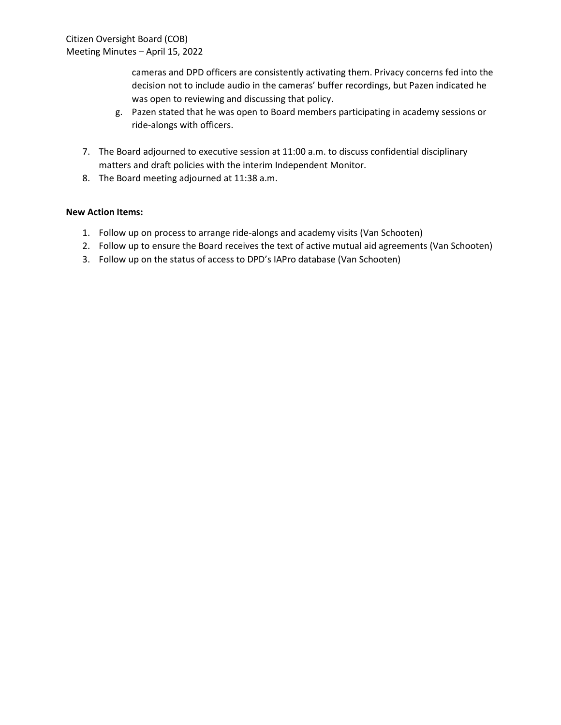cameras and DPD officers are consistently activating them. Privacy concerns fed into the decision not to include audio in the cameras' buffer recordings, but Pazen indicated he was open to reviewing and discussing that policy.

- g. Pazen stated that he was open to Board members participating in academy sessions or ride-alongs with officers.
- 7. The Board adjourned to executive session at 11:00 a.m. to discuss confidential disciplinary matters and draft policies with the interim Independent Monitor.
- 8. The Board meeting adjourned at 11:38 a.m.

- 1. Follow up on process to arrange ride-alongs and academy visits (Van Schooten)
- 2. Follow up to ensure the Board receives the text of active mutual aid agreements (Van Schooten)
- 3. Follow up on the status of access to DPD's IAPro database (Van Schooten)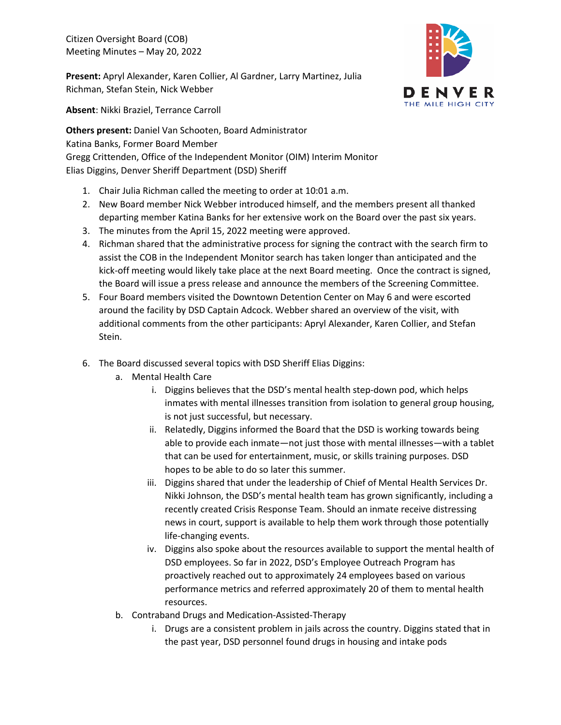Citizen Oversight Board (COB) Meeting Minutes – May 20, 2022

**Present:** Apryl Alexander, Karen Collier, Al Gardner, Larry Martinez, Julia Richman, Stefan Stein, Nick Webber



**Absent**: Nikki Braziel, Terrance Carroll

**Others present:** Daniel Van Schooten, Board Administrator Katina Banks, Former Board Member Gregg Crittenden, Office of the Independent Monitor (OIM) Interim Monitor Elias Diggins, Denver Sheriff Department (DSD) Sheriff

- 1. Chair Julia Richman called the meeting to order at 10:01 a.m.
- 2. New Board member Nick Webber introduced himself, and the members present all thanked departing member Katina Banks for her extensive work on the Board over the past six years.
- 3. The minutes from the April 15, 2022 meeting were approved.
- 4. Richman shared that the administrative process for signing the contract with the search firm to assist the COB in the Independent Monitor search has taken longer than anticipated and the kick-off meeting would likely take place at the next Board meeting. Once the contract is signed, the Board will issue a press release and announce the members of the Screening Committee.
- 5. Four Board members visited the Downtown Detention Center on May 6 and were escorted around the facility by DSD Captain Adcock. Webber shared an overview of the visit, with additional comments from the other participants: Apryl Alexander, Karen Collier, and Stefan Stein.
- 6. The Board discussed several topics with DSD Sheriff Elias Diggins:
	- a. Mental Health Care
		- i. Diggins believes that the DSD's mental health step-down pod, which helps inmates with mental illnesses transition from isolation to general group housing, is not just successful, but necessary.
		- ii. Relatedly, Diggins informed the Board that the DSD is working towards being able to provide each inmate—not just those with mental illnesses—with a tablet that can be used for entertainment, music, or skills training purposes. DSD hopes to be able to do so later this summer.
		- iii. Diggins shared that under the leadership of Chief of Mental Health Services Dr. Nikki Johnson, the DSD's mental health team has grown significantly, including a recently created Crisis Response Team. Should an inmate receive distressing news in court, support is available to help them work through those potentially life-changing events.
		- iv. Diggins also spoke about the resources available to support the mental health of DSD employees. So far in 2022, DSD's Employee Outreach Program has proactively reached out to approximately 24 employees based on various performance metrics and referred approximately 20 of them to mental health resources.
	- b. Contraband Drugs and Medication-Assisted-Therapy
		- i. Drugs are a consistent problem in jails across the country. Diggins stated that in the past year, DSD personnel found drugs in housing and intake pods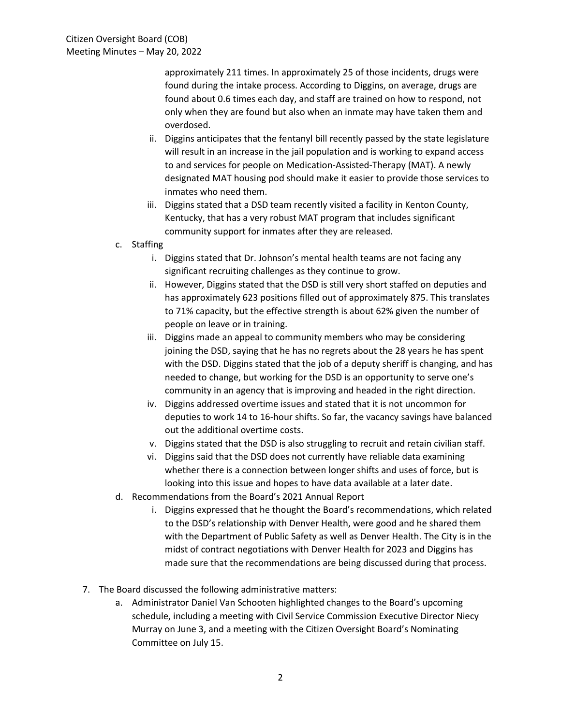approximately 211 times. In approximately 25 of those incidents, drugs were found during the intake process. According to Diggins, on average, drugs are found about 0.6 times each day, and staff are trained on how to respond, not only when they are found but also when an inmate may have taken them and overdosed.

- ii. Diggins anticipates that the fentanyl bill recently passed by the state legislature will result in an increase in the jail population and is working to expand access to and services for people on Medication-Assisted-Therapy (MAT). A newly designated MAT housing pod should make it easier to provide those services to inmates who need them.
- iii. Diggins stated that a DSD team recently visited a facility in Kenton County, Kentucky, that has a very robust MAT program that includes significant community support for inmates after they are released.
- c. Staffing
	- i. Diggins stated that Dr. Johnson's mental health teams are not facing any significant recruiting challenges as they continue to grow.
	- ii. However, Diggins stated that the DSD is still very short staffed on deputies and has approximately 623 positions filled out of approximately 875. This translates to 71% capacity, but the effective strength is about 62% given the number of people on leave or in training.
	- iii. Diggins made an appeal to community members who may be considering joining the DSD, saying that he has no regrets about the 28 years he has spent with the DSD. Diggins stated that the job of a deputy sheriff is changing, and has needed to change, but working for the DSD is an opportunity to serve one's community in an agency that is improving and headed in the right direction.
	- iv. Diggins addressed overtime issues and stated that it is not uncommon for deputies to work 14 to 16-hour shifts. So far, the vacancy savings have balanced out the additional overtime costs.
	- v. Diggins stated that the DSD is also struggling to recruit and retain civilian staff.
	- vi. Diggins said that the DSD does not currently have reliable data examining whether there is a connection between longer shifts and uses of force, but is looking into this issue and hopes to have data available at a later date.
- d. Recommendations from the Board's 2021 Annual Report
	- i. Diggins expressed that he thought the Board's recommendations, which related to the DSD's relationship with Denver Health, were good and he shared them with the Department of Public Safety as well as Denver Health. The City is in the midst of contract negotiations with Denver Health for 2023 and Diggins has made sure that the recommendations are being discussed during that process.
- 7. The Board discussed the following administrative matters:
	- a. Administrator Daniel Van Schooten highlighted changes to the Board's upcoming schedule, including a meeting with Civil Service Commission Executive Director Niecy Murray on June 3, and a meeting with the Citizen Oversight Board's Nominating Committee on July 15.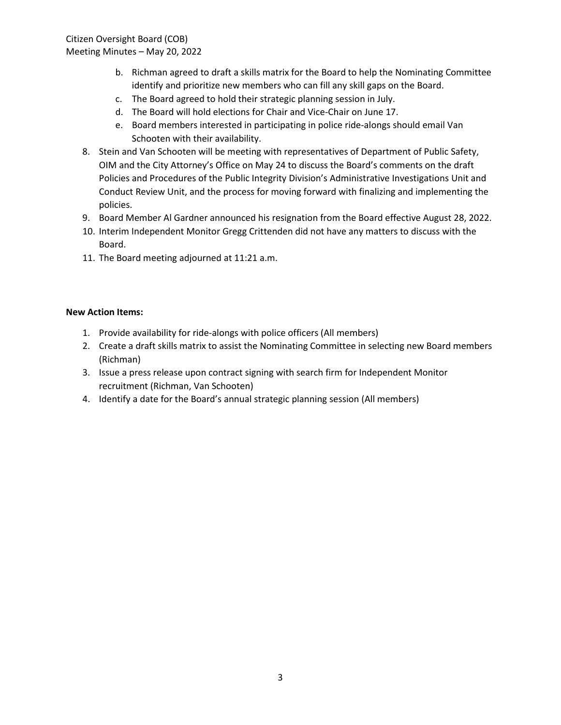Citizen Oversight Board (COB) Meeting Minutes – May 20, 2022

- b. Richman agreed to draft a skills matrix for the Board to help the Nominating Committee identify and prioritize new members who can fill any skill gaps on the Board.
- c. The Board agreed to hold their strategic planning session in July.
- d. The Board will hold elections for Chair and Vice-Chair on June 17.
- e. Board members interested in participating in police ride-alongs should email Van Schooten with their availability.
- 8. Stein and Van Schooten will be meeting with representatives of Department of Public Safety, OIM and the City Attorney's Office on May 24 to discuss the Board's comments on the draft Policies and Procedures of the Public Integrity Division's Administrative Investigations Unit and Conduct Review Unit, and the process for moving forward with finalizing and implementing the policies.
- 9. Board Member Al Gardner announced his resignation from the Board effective August 28, 2022.
- 10. Interim Independent Monitor Gregg Crittenden did not have any matters to discuss with the Board.
- 11. The Board meeting adjourned at 11:21 a.m.

- 1. Provide availability for ride-alongs with police officers (All members)
- 2. Create a draft skills matrix to assist the Nominating Committee in selecting new Board members (Richman)
- 3. Issue a press release upon contract signing with search firm for Independent Monitor recruitment (Richman, Van Schooten)
- 4. Identify a date for the Board's annual strategic planning session (All members)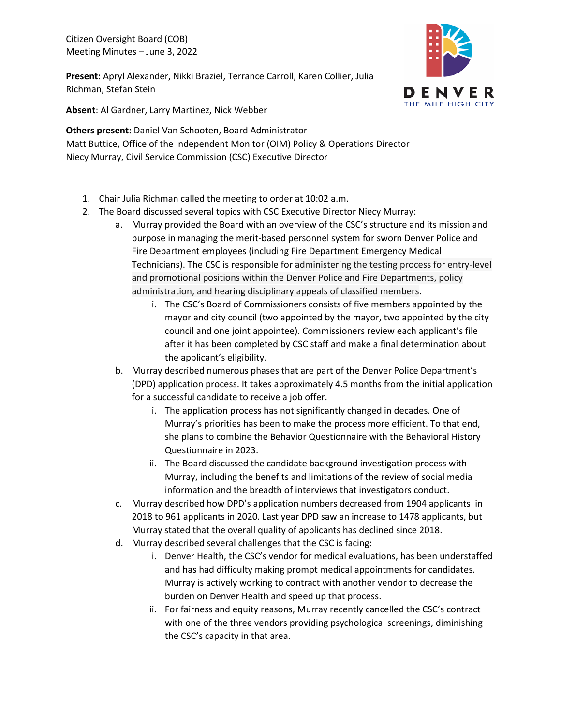Citizen Oversight Board (COB) Meeting Minutes – June 3, 2022

**Present:** Apryl Alexander, Nikki Braziel, Terrance Carroll, Karen Collier, Julia Richman, Stefan Stein



**Absent**: Al Gardner, Larry Martinez, Nick Webber

**Others present:** Daniel Van Schooten, Board Administrator Matt Buttice, Office of the Independent Monitor (OIM) Policy & Operations Director Niecy Murray, Civil Service Commission (CSC) Executive Director

- 1. Chair Julia Richman called the meeting to order at 10:02 a.m.
- 2. The Board discussed several topics with CSC Executive Director Niecy Murray:
	- a. Murray provided the Board with an overview of the CSC's structure and its mission and purpose in managing the merit-based personnel system for sworn Denver Police and Fire Department employees (including Fire Department Emergency Medical Technicians). The CSC is responsible for administering the testing process for entry-level and promotional positions within the Denver Police and Fire Departments, policy administration, and hearing disciplinary appeals of classified members.
		- i. The CSC's Board of Commissioners consists of five members appointed by the mayor and city council (two appointed by the mayor, two appointed by the city council and one joint appointee). Commissioners review each applicant's file after it has been completed by CSC staff and make a final determination about the applicant's eligibility.
	- b. Murray described numerous phases that are part of the Denver Police Department's (DPD) application process. It takes approximately 4.5 months from the initial application for a successful candidate to receive a job offer.
		- i. The application process has not significantly changed in decades. One of Murray's priorities has been to make the process more efficient. To that end, she plans to combine the Behavior Questionnaire with the Behavioral History Questionnaire in 2023.
		- ii. The Board discussed the candidate background investigation process with Murray, including the benefits and limitations of the review of social media information and the breadth of interviews that investigators conduct.
	- c. Murray described how DPD's application numbers decreased from 1904 applicants in 2018 to 961 applicants in 2020. Last year DPD saw an increase to 1478 applicants, but Murray stated that the overall quality of applicants has declined since 2018.
	- d. Murray described several challenges that the CSC is facing:
		- i. Denver Health, the CSC's vendor for medical evaluations, has been understaffed and has had difficulty making prompt medical appointments for candidates. Murray is actively working to contract with another vendor to decrease the burden on Denver Health and speed up that process.
		- ii. For fairness and equity reasons, Murray recently cancelled the CSC's contract with one of the three vendors providing psychological screenings, diminishing the CSC's capacity in that area.